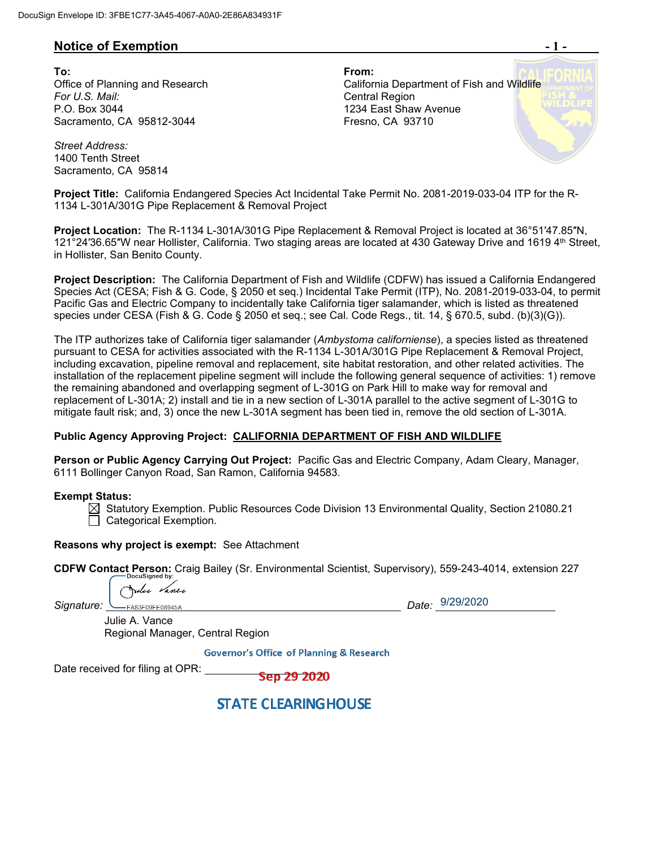# **Notice of Exemption**  $-1$  **-**

**To: From:**  *For U.S. Mail:* Central Region P.O. Box 3044 Sacramento, CA 95812-3044

Office of Planning and Research **California Department of Fish and Wildlife** 1234 East Shaw Avenue Fresno, CA 93710

*Street Address:* 1400 Tenth Street Sacramento, CA 95814

**Project Title:** California Endangered Species Act Incidental Take Permit No. 2081-2019-033-04 ITP for the R-1134 L-301A/301G Pipe Replacement & Removal Project

**Project Location:** The R-1134 L-301A/301G Pipe Replacement & Removal Project is located at 36°51′47.85″N, 121°24'36.65"W near Hollister, California. Two staging areas are located at 430 Gateway Drive and 1619 4<sup>th</sup> Street, in Hollister, San Benito County.

**Project Description:** The California Department of Fish and Wildlife (CDFW) has issued a California Endangered Species Act (CESA; Fish & G. Code, § 2050 et seq.) Incidental Take Permit (ITP), No. 2081-2019-033-04, to permit Pacific Gas and Electric Company to incidentally take California tiger salamander, which is listed as threatened species under CESA (Fish & G. Code § 2050 et seq.; see Cal. Code Regs., tit. 14, § 670.5, subd. (b)(3)(G)).

The ITP authorizes take of California tiger salamander (*Ambystoma californiense*), a species listed as threatened pursuant to CESA for activities associated with the R-1134 L-301A/301G Pipe Replacement & Removal Project, including excavation, pipeline removal and replacement, site habitat restoration, and other related activities. The installation of the replacement pipeline segment will include the following general sequence of activities: 1) remove the remaining abandoned and overlapping segment of L-301G on Park Hill to make way for removal and replacement of L-301A; 2) install and tie in a new section of L-301A parallel to the active segment of L-301G to mitigate fault risk; and, 3) once the new L-301A segment has been tied in, remove the old section of L-301A.

### **Public Agency Approving Project: CALIFORNIA DEPARTMENT OF FISH AND WILDLIFE**

**Person or Public Agency Carrying Out Project:** Pacific Gas and Electric Company, Adam Cleary, Manager, 6111 Bollinger Canyon Road, San Ramon, California 94583.

#### **Exempt Status:**

 $\boxtimes$  Statutory Exemption. Public Resources Code Division 13 Environmental Quality, Section 21080.21 Categorical Exemption.

**Reasons why project is exempt:** See Attachment

**CDFW Contact Person:** Craig Bailey (Sr. Environmental Scientist, Supervisory), 559-243-4014, extension 227

lu *Van*ci

Julie A. Vance

Signature: **CALLACCE CASSF** 

Date: 9/29/2020

Regional Manager, Central Region

**Governor's Office of Planning & Research** 

Date received for filing at OPR:

Sep 29 2020

**STATE CLEARINGHOUSE**